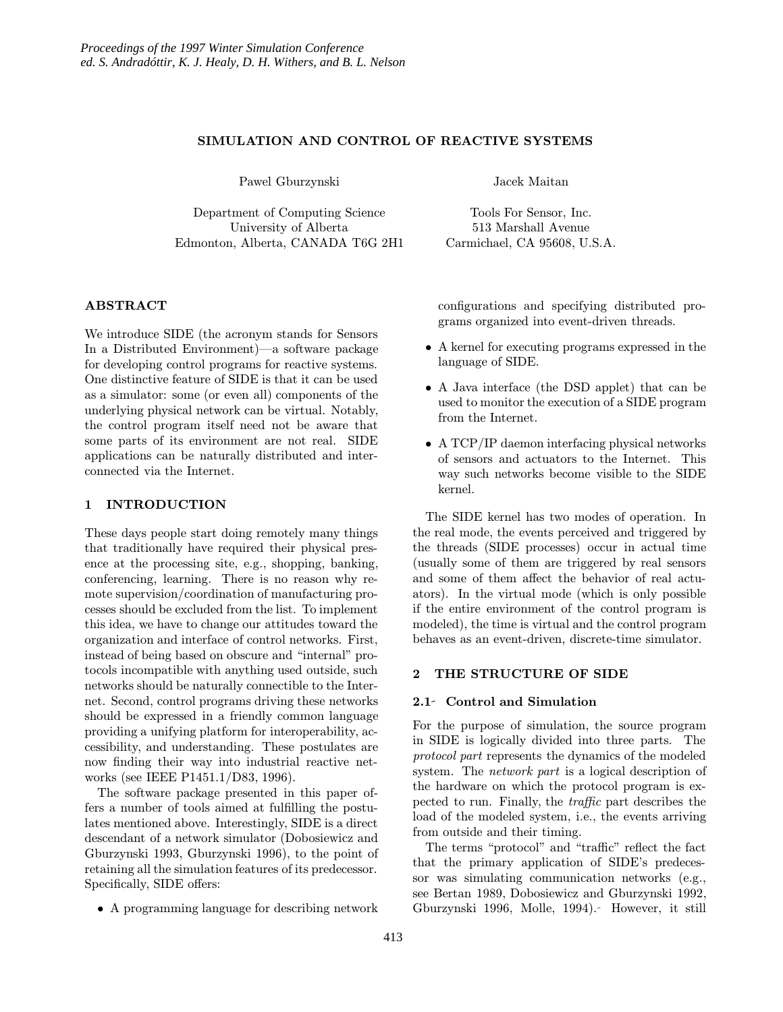# SIMULATION AND CONTROL OF REACTIVE SYSTEMS

Pawel Gburzynski

Department of Computing Science University of Alberta Edmonton, Alberta, CANADA T6G 2H1

## ABSTRACT

We introduce SIDE (the acronym stands for Sensors In a Distributed Environment)—a software package for developing control programs for reactive systems. One distinctive feature of SIDE is that it can be used as a simulator: some (or even all) components of the underlying physical network can be virtual. Notably, the control program itself need not be aware that some parts of its environment are not real. SIDE applications can be naturally distributed and interconnected via the Internet.

# 1 INTRODUCTION

These days people start doing remotely many things that traditionally have required their physical presence at the processing site, e.g., shopping, banking, conferencing, learning. There is no reason why remote supervision/coordination of manufacturing processes should be excluded from the list. To implement this idea, we have to change our attitudes toward the organization and interface of control networks. First, instead of being based on obscure and "internal" protocols incompatible with anything used outside, such networks should be naturally connectible to the Internet. Second, control programs driving these networks should be expressed in a friendly common language providing a unifying platform for interoperability, accessibility, and understanding. These postulates are now finding their way into industrial reactive networks (see IEEE P1451.1/D83, 1996).

The software package presented in this paper offers a number of tools aimed at fulfilling the postulates mentioned above. Interestingly, SIDE is a direct descendant of a network simulator (Dobosiewicz and Gburzynski 1993, Gburzynski 1996), to the point of retaining all the simulation features of its predecessor. Specifically, SIDE offers:

• A programming language for describing network

Jacek Maitan

Tools For Sensor, Inc. 513 Marshall Avenue Carmichael, CA 95608, U.S.A.

configurations and specifying distributed programs organized into event-driven threads.

- A kernel for executing programs expressed in the language of SIDE.
- A Java interface (the DSD applet) that can be used to monitor the execution of a SIDE program from the Internet.
- A TCP/IP daemon interfacing physical networks of sensors and actuators to the Internet. This way such networks become visible to the SIDE kernel.

The SIDE kernel has two modes of operation. In the real mode, the events perceived and triggered by the threads (SIDE processes) occur in actual time (usually some of them are triggered by real sensors and some of them affect the behavior of real actuators). In the virtual mode (which is only possible if the entire environment of the control program is modeled), the time is virtual and the control program behaves as an event-driven, discrete-time simulator.

## 2 THE STRUCTURE OF SIDE

#### 2.1- Control and Simulation

For the purpose of simulation, the source program in SIDE is logically divided into three parts. The protocol part represents the dynamics of the modeled system. The *network part* is a logical description of the hardware on which the protocol program is expected to run. Finally, the traffic part describes the load of the modeled system, i.e., the events arriving from outside and their timing.

The terms "protocol" and "traffic" reflect the fact that the primary application of SIDE's predecessor was simulating communication networks (e.g., see Bertan 1989, Dobosiewicz and Gburzynski 1992, Gburzynski 1996, Molle, 1994). However, it still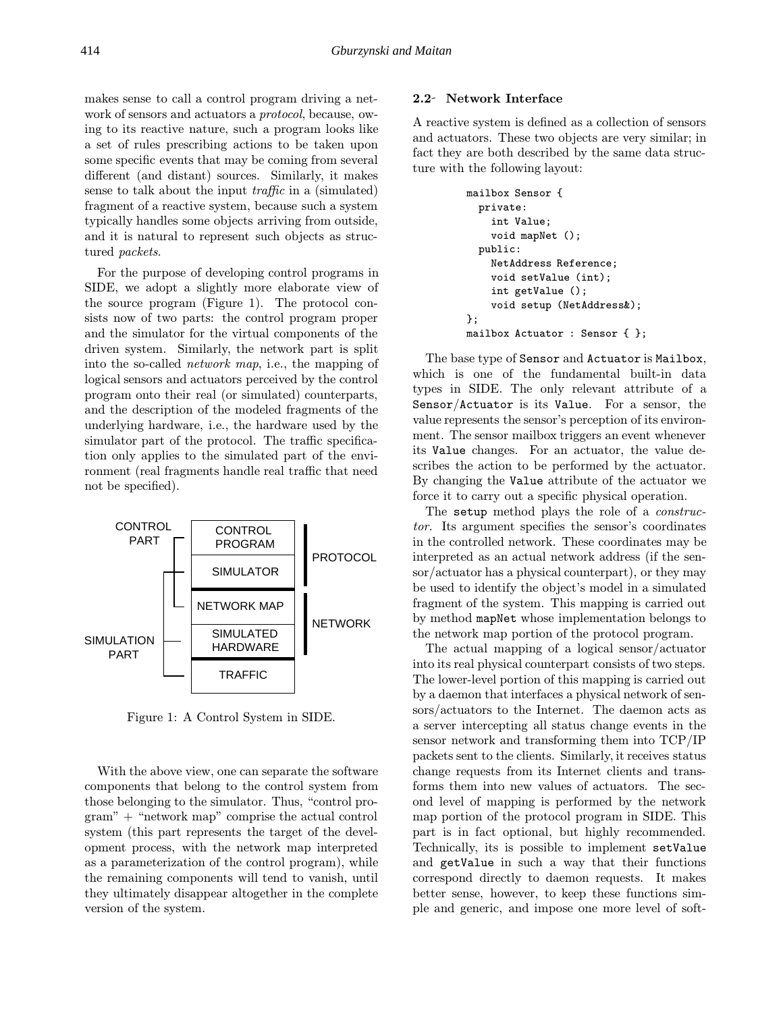makes sense to call a control program driving a network of sensors and actuators a protocol, because, owing to its reactive nature, such a program looks like a set of rules prescribing actions to be taken upon some specific events that may be coming from several different (and distant) sources. Similarly, it makes sense to talk about the input traffic in a (simulated) fragment of a reactive system, because such a system typically handles some objects arriving from outside, and it is natural to represent such objects as structured packets.

For the purpose of developing control programs in SIDE, we adopt a slightly more elaborate view of the source program (Figure 1). The protocol consists now of two parts: the control program proper and the simulator for the virtual components of the driven system. Similarly, the network part is split into the so-called network map, i.e., the mapping of logical sensors and actuators perceived by the control program onto their real (or simulated) counterparts, and the description of the modeled fragments of the underlying hardware, i.e., the hardware used by the simulator part of the protocol. The traffic specification only applies to the simulated part of the environment (real fragments handle real traffic that need not be specified).



Figure 1: A Control System in SIDE.

With the above view, one can separate the software components that belong to the control system from those belonging to the simulator. Thus, "control program" + "network map" comprise the actual control system (this part represents the target of the development process, with the network map interpreted as a parameterization of the control program), while the remaining components will tend to vanish, until they ultimately disappear altogether in the complete version of the system.

## 2.2 Network Interface

A reactive system is defined as a collection of sensors and actuators. These two objects are very similar; in fact they are both described by the same data structure with the following layout:

```
mailbox Sensor {
  private:
    int Value;
    void mapNet ();
  public:
    NetAddress Reference;
    void setValue (int);
    int getValue ();
    void setup (NetAddress&);
};
mailbox Actuator : Sensor { };
```
The base type of Sensor and Actuator is Mailbox, which is one of the fundamental built-in data types in SIDE. The only relevant attribute of a Sensor/Actuator is its Value. For a sensor, the value represents the sensor's perception of its environment. The sensor mailbox triggers an event whenever its Value changes. For an actuator, the value describes the action to be performed by the actuator. By changing the Value attribute of the actuator we force it to carry out a specific physical operation.

The setup method plays the role of a *construc*tor. Its argument specifies the sensor's coordinates in the controlled network. These coordinates may be interpreted as an actual network address (if the sensor/actuator has a physical counterpart), or they may be used to identify the object's model in a simulated fragment of the system. This mapping is carried out by method mapNet whose implementation belongs to the network map portion of the protocol program.

The actual mapping of a logical sensor/actuator into its real physical counterpart consists of two steps. The lower-level portion of this mapping is carried out by a daemon that interfaces a physical network of sensors/actuators to the Internet. The daemon acts as a server intercepting all status change events in the sensor network and transforming them into TCP/IP packets sent to the clients. Similarly, it receives status change requests from its Internet clients and transforms them into new values of actuators. The second level of mapping is performed by the network map portion of the protocol program in SIDE. This part is in fact optional, but highly recommended. Technically, its is possible to implement setValue and getValue in such a way that their functions correspond directly to daemon requests. It makes better sense, however, to keep these functions simple and generic, and impose one more level of soft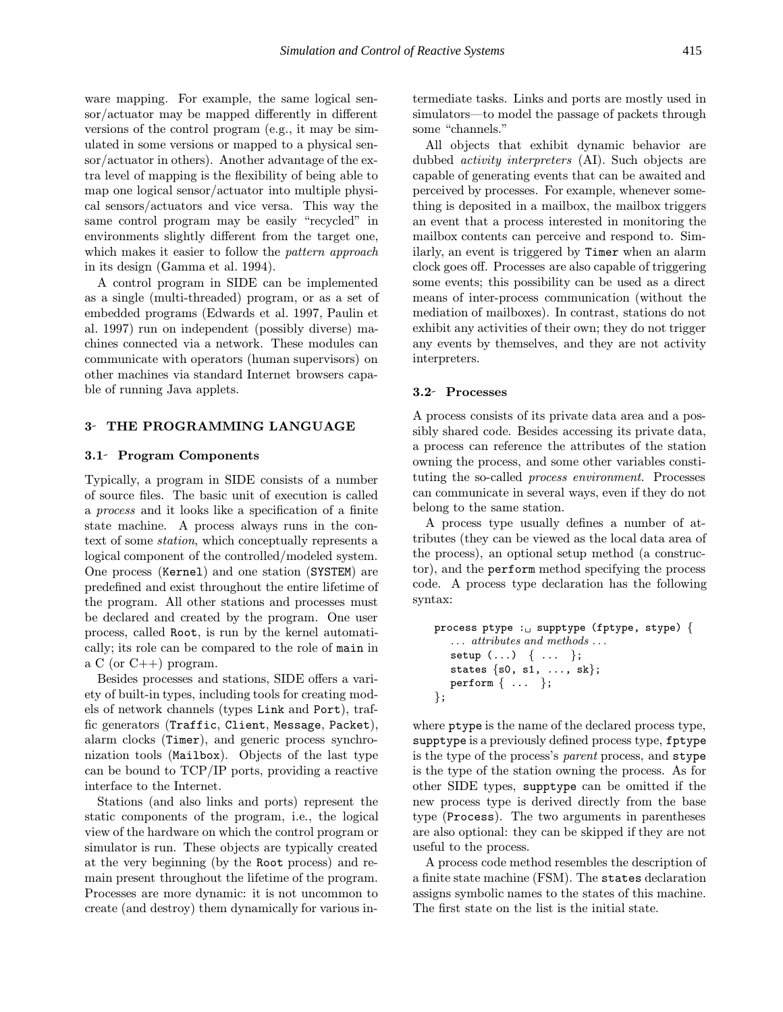ware mapping. For example, the same logical sensor/actuator may be mapped differently in different versions of the control program (e.g., it may be simulated in some versions or mapped to a physical sensor/actuator in others). Another advantage of the extra level of mapping is the flexibility of being able to map one logical sensor/actuator into multiple physical sensors/actuators and vice versa. This way the same control program may be easily "recycled" in environments slightly different from the target one, which makes it easier to follow the *pattern approach* in its design (Gamma et al. 1994).

A control program in SIDE can be implemented as a single (multi-threaded) program, or as a set of embedded programs (Edwards et al. 1997, Paulin et al. 1997) run on independent (possibly diverse) machines connected via a network. These modules can communicate with operators (human supervisors) on other machines via standard Internet browsers capable of running Java applets.

#### 3- THE PROGRAMMING LANGUAGE

## 3.1 Program Components

Typically, a program in SIDE consists of a number of source files. The basic unit of execution is called a process and it looks like a specification of a finite state machine. A process always runs in the context of some station, which conceptually represents a logical component of the controlled/modeled system. One process (Kernel) and one station (SYSTEM) are predefined and exist throughout the entire lifetime of the program. All other stations and processes must be declared and created by the program. One user process, called Root, is run by the kernel automatically; its role can be compared to the role of main in a C (or  $C_{++}$ ) program.

Besides processes and stations, SIDE offers a variety of built-in types, including tools for creating models of network channels (types Link and Port), traffic generators (Traffic, Client, Message, Packet), alarm clocks (Timer), and generic process synchronization tools (Mailbox). Objects of the last type can be bound to TCP/IP ports, providing a reactive interface to the Internet.

Stations (and also links and ports) represent the static components of the program, i.e., the logical view of the hardware on which the control program or simulator is run. These objects are typically created at the very beginning (by the Root process) and remain present throughout the lifetime of the program. Processes are more dynamic: it is not uncommon to create (and destroy) them dynamically for various intermediate tasks. Links and ports are mostly used in simulators—to model the passage of packets through some "channels."

All objects that exhibit dynamic behavior are dubbed activity interpreters (AI). Such objects are capable of generating events that can be awaited and perceived by processes. For example, whenever something is deposited in a mailbox, the mailbox triggers an event that a process interested in monitoring the mailbox contents can perceive and respond to. Similarly, an event is triggered by Timer when an alarm clock goes off. Processes are also capable of triggering some events; this possibility can be used as a direct means of inter-process communication (without the mediation of mailboxes). In contrast, stations do not exhibit any activities of their own; they do not trigger any events by themselves, and they are not activity interpreters.

#### 3.2 Processes

A process consists of its private data area and a possibly shared code. Besides accessing its private data, a process can reference the attributes of the station owning the process, and some other variables constituting the so-called process environment. Processes can communicate in several ways, even if they do not belong to the same station.

A process type usually defines a number of attributes (they can be viewed as the local data area of the process), an optional setup method (a constructor), and the perform method specifying the process code. A process type declaration has the following syntax:

```
process ptype : supptype (fptype, stype) {
   . . . attributes and methods . . .
   setup (...) { ... };
   states \{s0, s1, \ldots, sk\};perform \{ \ldots \};
};
```
where ptype is the name of the declared process type, supptype is a previously defined process type, fptype is the type of the process's parent process, and stype is the type of the station owning the process. As for other SIDE types, supptype can be omitted if the new process type is derived directly from the base type (Process). The two arguments in parentheses are also optional: they can be skipped if they are not useful to the process.

A process code method resembles the description of a finite state machine (FSM). The states declaration assigns symbolic names to the states of this machine. The first state on the list is the initial state.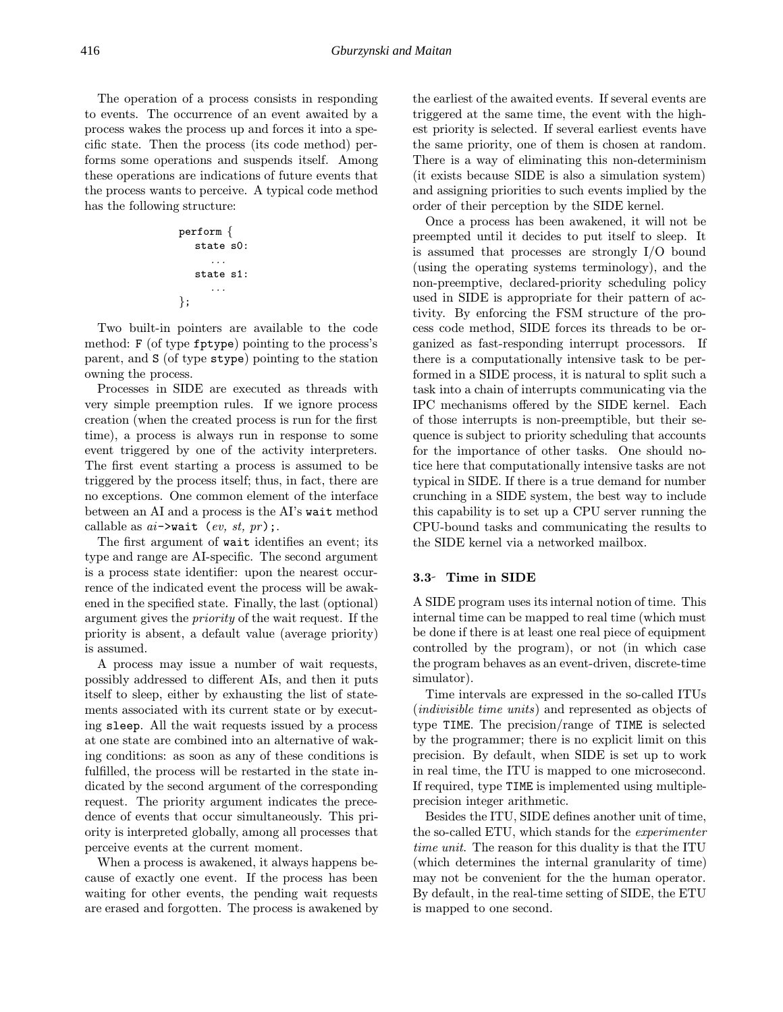The operation of a process consists in responding to events. The occurrence of an event awaited by a process wakes the process up and forces it into a specific state. Then the process (its code method) performs some operations and suspends itself. Among these operations are indications of future events that the process wants to perceive. A typical code method has the following structure:

```
perform {
   state s0:
      ...
   state s1:
      ...
};
```
Two built-in pointers are available to the code method: F (of type fptype) pointing to the process's parent, and S (of type stype) pointing to the station owning the process.

Processes in SIDE are executed as threads with very simple preemption rules. If we ignore process creation (when the created process is run for the first time), a process is always run in response to some event triggered by one of the activity interpreters. The first event starting a process is assumed to be triggered by the process itself; thus, in fact, there are no exceptions. One common element of the interface between an AI and a process is the AI's wait method callable as  $ai$ ->wait (ev, st, pr);.

The first argument of wait identifies an event; its type and range are AI-specific. The second argument is a process state identifier: upon the nearest occurrence of the indicated event the process will be awakened in the specified state. Finally, the last (optional) argument gives the priority of the wait request. If the priority is absent, a default value (average priority) is assumed.

A process may issue a number of wait requests, possibly addressed to different AIs, and then it puts itself to sleep, either by exhausting the list of statements associated with its current state or by executing sleep. All the wait requests issued by a process at one state are combined into an alternative of waking conditions: as soon as any of these conditions is fulfilled, the process will be restarted in the state indicated by the second argument of the corresponding request. The priority argument indicates the precedence of events that occur simultaneously. This priority is interpreted globally, among all processes that perceive events at the current moment.

When a process is awakened, it always happens because of exactly one event. If the process has been waiting for other events, the pending wait requests are erased and forgotten. The process is awakened by the earliest of the awaited events. If several events are triggered at the same time, the event with the highest priority is selected. If several earliest events have the same priority, one of them is chosen at random. There is a way of eliminating this non-determinism (it exists because SIDE is also a simulation system) and assigning priorities to such events implied by the order of their perception by the SIDE kernel.

Once a process has been awakened, it will not be preempted until it decides to put itself to sleep. It is assumed that processes are strongly I/O bound (using the operating systems terminology), and the non-preemptive, declared-priority scheduling policy used in SIDE is appropriate for their pattern of activity. By enforcing the FSM structure of the process code method, SIDE forces its threads to be organized as fast-responding interrupt processors. If there is a computationally intensive task to be performed in a SIDE process, it is natural to split such a task into a chain of interrupts communicating via the IPC mechanisms offered by the SIDE kernel. Each of those interrupts is non-preemptible, but their sequence is subject to priority scheduling that accounts for the importance of other tasks. One should notice here that computationally intensive tasks are not typical in SIDE. If there is a true demand for number crunching in a SIDE system, the best way to include this capability is to set up a CPU server running the CPU-bound tasks and communicating the results to the SIDE kernel via a networked mailbox.

### 3.3 Time in SIDE

A SIDE program uses its internal notion of time. This internal time can be mapped to real time (which must be done if there is at least one real piece of equipment controlled by the program), or not (in which case the program behaves as an event-driven, discrete-time simulator).

Time intervals are expressed in the so-called ITUs (indivisible time units) and represented as objects of type TIME. The precision/range of TIME is selected by the programmer; there is no explicit limit on this precision. By default, when SIDE is set up to work in real time, the ITU is mapped to one microsecond. If required, type TIME is implemented using multipleprecision integer arithmetic.

Besides the ITU, SIDE defines another unit of time, the so-called ETU, which stands for the experimenter time unit. The reason for this duality is that the ITU (which determines the internal granularity of time) may not be convenient for the the human operator. By default, in the real-time setting of SIDE, the ETU is mapped to one second.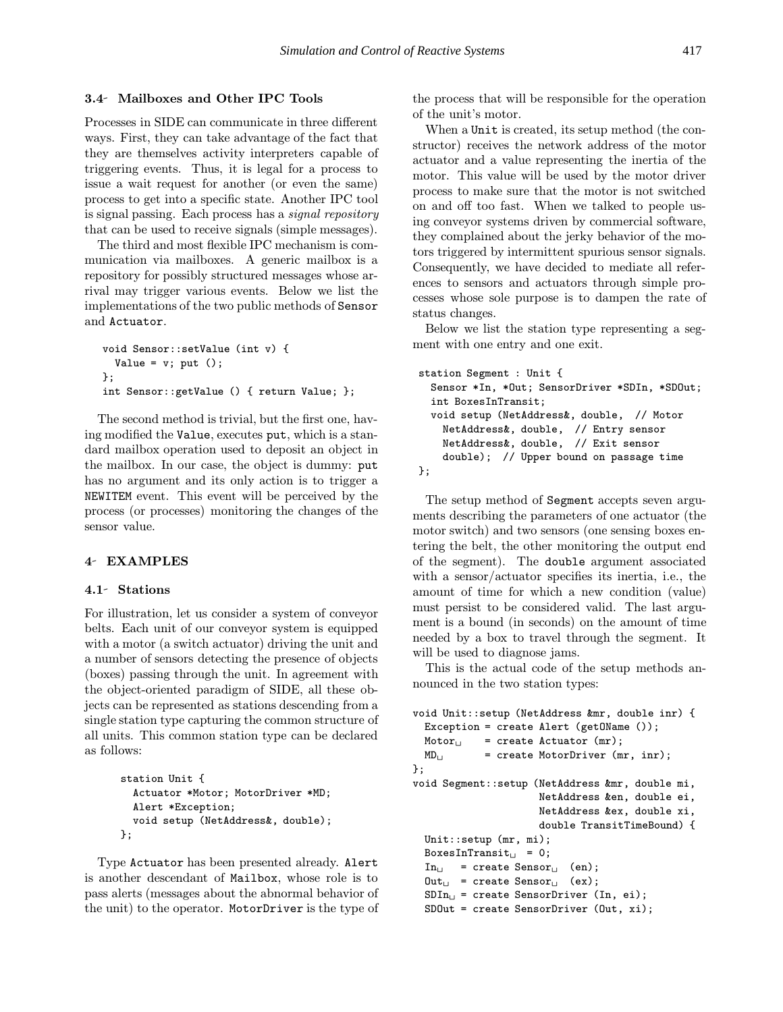# 3.4 Mailboxes and Other IPC Tools

Processes in SIDE can communicate in three different ways. First, they can take advantage of the fact that they are themselves activity interpreters capable of triggering events. Thus, it is legal for a process to issue a wait request for another (or even the same) process to get into a specific state. Another IPC tool is signal passing. Each process has a signal repository that can be used to receive signals (simple messages).

The third and most flexible IPC mechanism is communication via mailboxes. A generic mailbox is a repository for possibly structured messages whose arrival may trigger various events. Below we list the implementations of the two public methods of Sensor and Actuator.

```
void Sensor::setValue (int v) {
 Value = v; put ();
};
int Sensor::getValue () { return Value; };
```
The second method is trivial, but the first one, having modified the Value, executes put, which is a standard mailbox operation used to deposit an object in the mailbox. In our case, the object is dummy: put has no argument and its only action is to trigger a NEWITEM event. This event will be perceived by the process (or processes) monitoring the changes of the sensor value.

# 4 EXAMPLES

## 4.1 Stations

For illustration, let us consider a system of conveyor belts. Each unit of our conveyor system is equipped with a motor (a switch actuator) driving the unit and a number of sensors detecting the presence of objects (boxes) passing through the unit. In agreement with the object-oriented paradigm of SIDE, all these objects can be represented as stations descending from a single station type capturing the common structure of all units. This common station type can be declared as follows:

```
station Unit {
  Actuator *Motor; MotorDriver *MD;
  Alert *Exception;
  void setup (NetAddress&, double);
};
```
Type Actuator has been presented already. Alert is another descendant of Mailbox, whose role is to pass alerts (messages about the abnormal behavior of the unit) to the operator. MotorDriver is the type of the process that will be responsible for the operation of the unit's motor.

When a Unit is created, its setup method (the constructor) receives the network address of the motor actuator and a value representing the inertia of the motor. This value will be used by the motor driver process to make sure that the motor is not switched on and off too fast. When we talked to people using conveyor systems driven by commercial software, they complained about the jerky behavior of the motors triggered by intermittent spurious sensor signals. Consequently, we have decided to mediate all references to sensors and actuators through simple processes whose sole purpose is to dampen the rate of status changes.

Below we list the station type representing a segment with one entry and one exit.

```
station Segment : Unit {
  Sensor *In, *Out; SensorDriver *SDIn, *SDOut;
  int BoxesInTransit;
  void setup (NetAddress&, double, // Motor
    NetAddress&, double, // Entry sensor
    NetAddress&, double, // Exit sensor
    double); // Upper bound on passage time
};
```
The setup method of Segment accepts seven arguments describing the parameters of one actuator (the motor switch) and two sensors (one sensing boxes entering the belt, the other monitoring the output end of the segment). The double argument associated with a sensor/actuator specifies its inertia, i.e., the amount of time for which a new condition (value) must persist to be considered valid. The last argument is a bound (in seconds) on the amount of time needed by a box to travel through the segment. It will be used to diagnose jams.

This is the actual code of the setup methods announced in the two station types:

```
void Unit::setup (NetAddress &mr, double inr) {
  Exception = create Alert (get0Name());
  Motor_{11} = create Actuator (mr);
  MD_{11} = create MotorDriver (mr, inr);
\mathcal{E}:
void Segment::setup (NetAddress &mr, double mi,
                        NetAddress &en, double ei,
                        NetAddress &ex, double xi,
                        double TransitTimeBound) {
  Unit::setup (mr, mi);
  BoxesInTransit_{||} = 0;In_{\square} = create Sensor<sub>\square</sub> (en);
  Out_{\sqcup} = create Sensor<sub>\sqcup</sub> (ex);
  \texttt{SDIn}_{\sqcup} = create SensorDriver (In, ei);
  SDOut = create SensorDriver (Out, xi);
```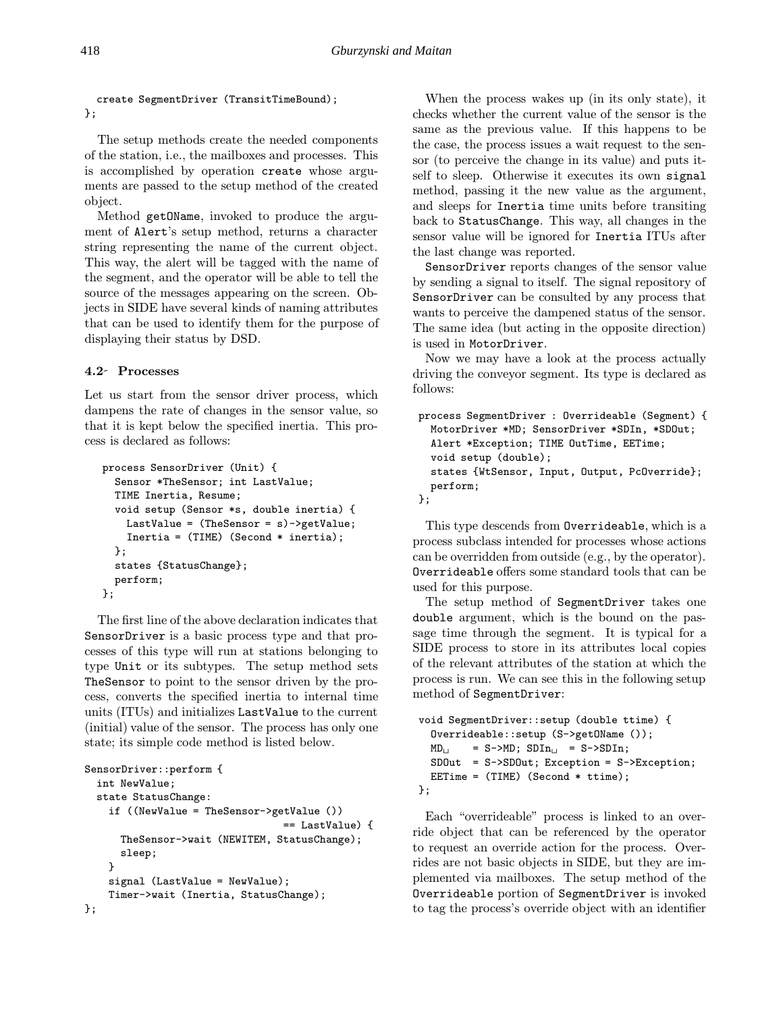```
create SegmentDriver (TransitTimeBound);
};
```
The setup methods create the needed components of the station, i.e., the mailboxes and processes. This is accomplished by operation create whose arguments are passed to the setup method of the created object.

Method getOName, invoked to produce the argument of Alert's setup method, returns a character string representing the name of the current object. This way, the alert will be tagged with the name of the segment, and the operator will be able to tell the source of the messages appearing on the screen. Objects in SIDE have several kinds of naming attributes that can be used to identify them for the purpose of displaying their status by DSD.

# 4.2 Processes

Let us start from the sensor driver process, which dampens the rate of changes in the sensor value, so that it is kept below the specified inertia. This process is declared as follows:

```
process SensorDriver (Unit) {
  Sensor *TheSensor; int LastValue;
  TIME Inertia, Resume;
  void setup (Sensor *s, double inertia) {
    LastValue = (The<mark>Sensor = s)->getValue;</mark>Inertia = (TIME) (Second * inertia);
  };
  states {StatusChange};
  perform;
};
```
The first line of the above declaration indicates that SensorDriver is a basic process type and that processes of this type will run at stations belonging to type Unit or its subtypes. The setup method sets TheSensor to point to the sensor driven by the process, converts the specified inertia to internal time units (ITUs) and initializes LastValue to the current (initial) value of the sensor. The process has only one state; its simple code method is listed below.

```
SensorDriver::perform {
  int NewValue;
  state StatusChange:
    if ((NewValue = TheSensor->getValue ())
                                 == LastValue) {
      TheSensor->wait (NEWITEM, StatusChange);
      sleep;
   }
   signal (LastValue = NewValue);
   Timer->wait (Inertia, StatusChange);
};
```
When the process wakes up (in its only state), it checks whether the current value of the sensor is the same as the previous value. If this happens to be the case, the process issues a wait request to the sensor (to perceive the change in its value) and puts itself to sleep. Otherwise it executes its own signal method, passing it the new value as the argument, and sleeps for Inertia time units before transiting back to StatusChange. This way, all changes in the sensor value will be ignored for Inertia ITUs after the last change was reported.

SensorDriver reports changes of the sensor value by sending a signal to itself. The signal repository of SensorDriver can be consulted by any process that wants to perceive the dampened status of the sensor. The same idea (but acting in the opposite direction) is used in MotorDriver.

Now we may have a look at the process actually driving the conveyor segment. Its type is declared as follows:

```
process SegmentDriver : Overrideable (Segment) {
  MotorDriver *MD; SensorDriver *SDIn, *SDOut;
  Alert *Exception; TIME OutTime, EETime;
  void setup (double);
  states {WtSensor, Input, Output, PcOverride};
  perform;
};
```
This type descends from Overrideable, which is a process subclass intended for processes whose actions can be overridden from outside (e.g., by the operator). Overrideable offers some standard tools that can be used for this purpose.

The setup method of SegmentDriver takes one double argument, which is the bound on the passage time through the segment. It is typical for a SIDE process to store in its attributes local copies of the relevant attributes of the station at which the process is run. We can see this in the following setup method of SegmentDriver:

```
void SegmentDriver::setup (double ttime) {
  Overrideable::setup (S->getOName ());
  MD_{\Box} = S->MD; SDIn_{\Box} = S->SDIn;
  SDOut = S->SDOut; Exception = S->Exception;
  EETime = (TIME) (Second * ttime);
};
```
Each "overrideable" process is linked to an override object that can be referenced by the operator to request an override action for the process. Overrides are not basic objects in SIDE, but they are implemented via mailboxes. The setup method of the Overrideable portion of SegmentDriver is invoked to tag the process's override object with an identifier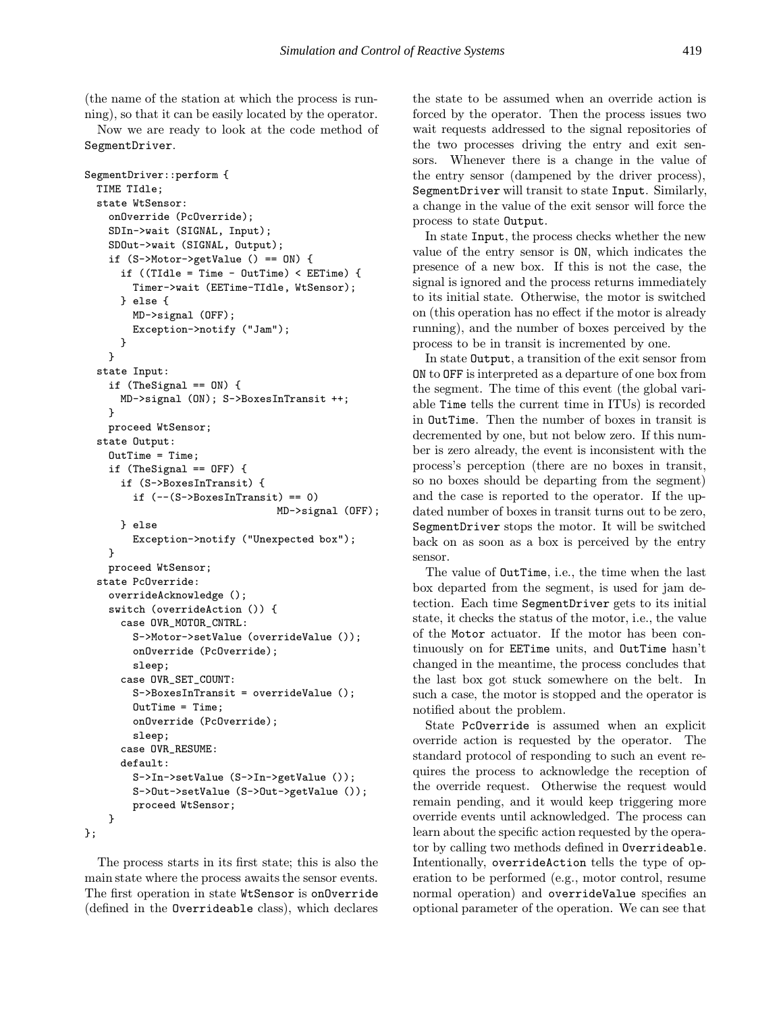(the name of the station at which the process is running), so that it can be easily located by the operator.

Now we are ready to look at the code method of SegmentDriver.

```
SegmentDriver::perform {
  TIME TIdle;
  state WtSensor:
   onOverride (PcOverride);
   SDIn->wait (SIGNAL, Input);
   SDOut->wait (SIGNAL, Output);
    if (S->Motor->getValue () == ON) {
      if ((TIdle = Time - OutTime) < EETime) {
        Timer->wait (EETime-TIdle, WtSensor);
      } else {
        MD->signal (OFF);
        Exception->notify ("Jam");
      }
   }
  state Input:
    if (TheSignal == ON) {
      MD->signal (ON); S->BoxesInTransit ++;
    }
   proceed WtSensor;
  state Output:
   OutTime = Time;
    if (TheSignal == 0FF) {
      if (S->BoxesInTransit) {
        if (--(S->BoxesInTransit) == 0)MD->signal (OFF);
      } else
        Exception->notify ("Unexpected box");
    }
   proceed WtSensor;
  state PcOverride:
   overrideAcknowledge ();
    switch (overrideAction ()) {
      case OVR_MOTOR_CNTRL:
        S->Motor->setValue (overrideValue ());
        onOverride (PcOverride);
        sleep;
      case OVR_SET_COUNT:
        S->BoxesInTransit = overrideValue ();
        OutTime = Time;
        onOverride (PcOverride);
        sleep;
      case OVR_RESUME:
      default:
        S->In->setValue (S->In->getValue ());
        S->Out->setValue (S->Out->getValue ());
        proceed WtSensor;
    }
};
```
The process starts in its first state; this is also the main state where the process awaits the sensor events. The first operation in state WtSensor is onOverride (defined in the Overrideable class), which declares the state to be assumed when an override action is forced by the operator. Then the process issues two wait requests addressed to the signal repositories of the two processes driving the entry and exit sensors. Whenever there is a change in the value of the entry sensor (dampened by the driver process), SegmentDriver will transit to state Input. Similarly, a change in the value of the exit sensor will force the process to state Output.

In state Input, the process checks whether the new value of the entry sensor is ON, which indicates the presence of a new box. If this is not the case, the signal is ignored and the process returns immediately to its initial state. Otherwise, the motor is switched on (this operation has no effect if the motor is already running), and the number of boxes perceived by the process to be in transit is incremented by one.

In state Output, a transition of the exit sensor from ON to OFF is interpreted as a departure of one box from the segment. The time of this event (the global variable Time tells the current time in ITUs) is recorded in OutTime. Then the number of boxes in transit is decremented by one, but not below zero. If this number is zero already, the event is inconsistent with the process's perception (there are no boxes in transit, so no boxes should be departing from the segment) and the case is reported to the operator. If the updated number of boxes in transit turns out to be zero, SegmentDriver stops the motor. It will be switched back on as soon as a box is perceived by the entry sensor.

The value of OutTime, i.e., the time when the last box departed from the segment, is used for jam detection. Each time SegmentDriver gets to its initial state, it checks the status of the motor, i.e., the value of the Motor actuator. If the motor has been continuously on for EETime units, and OutTime hasn't changed in the meantime, the process concludes that the last box got stuck somewhere on the belt. In such a case, the motor is stopped and the operator is notified about the problem.

State PcOverride is assumed when an explicit override action is requested by the operator. The standard protocol of responding to such an event requires the process to acknowledge the reception of the override request. Otherwise the request would remain pending, and it would keep triggering more override events until acknowledged. The process can learn about the specific action requested by the operator by calling two methods defined in Overrideable. Intentionally, overrideAction tells the type of operation to be performed (e.g., motor control, resume normal operation) and overrideValue specifies an optional parameter of the operation. We can see that